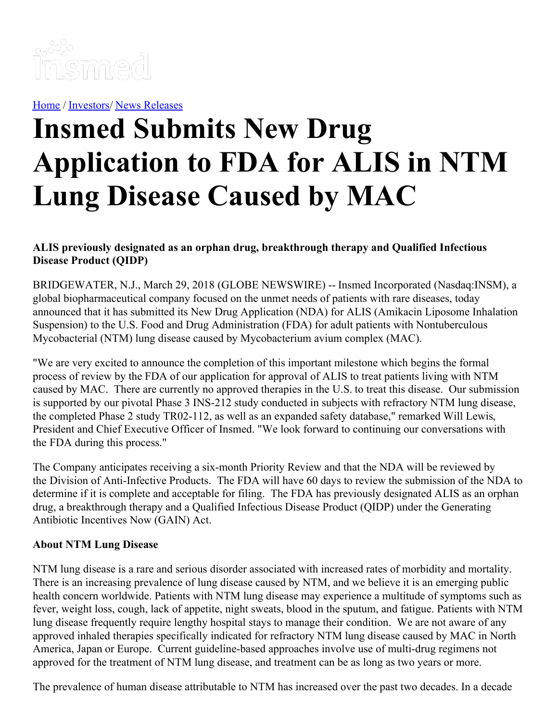

[Home](https://insmed.com/) / [Investors](https://investor.insmed.com/index)/ News [Releases](https://investor.insmed.com/releases)

# **Insmed Submits New Drug Application to FDA for ALIS in NTM Lung Disease Caused by MAC**

### **ALIS previously designated as an orphan drug, breakthrough therapy and Qualified Infectious Disease Product (QIDP)**

BRIDGEWATER, N.J., March 29, 2018 (GLOBE NEWSWIRE) -- Insmed Incorporated (Nasdaq:INSM), a global biopharmaceutical company focused on the unmet needs of patients with rare diseases, today announced that it has submitted its New Drug Application (NDA) for ALIS (Amikacin Liposome Inhalation Suspension) to the U.S. Food and Drug Administration (FDA) for adult patients with Nontuberculous Mycobacterial (NTM) lung disease caused by Mycobacterium avium complex (MAC).

"We are very excited to announce the completion of this important milestone which begins the formal process of review by the FDA of our application for approval of ALIS to treat patients living with NTM caused by MAC. There are currently no approved therapies in the U.S. to treat this disease. Our submission is supported by our pivotal Phase 3 INS-212 study conducted in subjects with refractory NTM lung disease, the completed Phase 2 study TR02-112, as well as an expanded safety database," remarked Will Lewis, President and Chief Executive Officer of Insmed. "We look forward to continuing our conversations with the FDA during this process."

The Company anticipates receiving a six-month Priority Review and that the NDA will be reviewed by the Division of Anti-Infective Products. The FDA will have 60 days to review the submission of the NDA to determine if it is complete and acceptable for filing. The FDA has previously designated ALIS as an orphan drug, a breakthrough therapy and a Qualified Infectious Disease Product (QIDP) under the Generating Antibiotic Incentives Now (GAIN) Act.

#### **About NTM Lung Disease**

NTM lung disease is a rare and serious disorder associated with increased rates of morbidity and mortality. There is an increasing prevalence of lung disease caused by NTM, and we believe it is an emerging public health concern worldwide. Patients with NTM lung disease may experience a multitude of symptoms such as fever, weight loss, cough, lack of appetite, night sweats, blood in the sputum, and fatigue. Patients with NTM lung disease frequently require lengthy hospital stays to manage their condition. We are not aware of any approved inhaled therapies specifically indicated for refractory NTM lung disease caused by MAC in North America, Japan or Europe. Current guideline-based approaches involve use of multi-drug regimens not approved for the treatment of NTM lung disease, and treatment can be as long as two years or more.

The prevalence of human disease attributable to NTM has increased over the past two decades. In a decade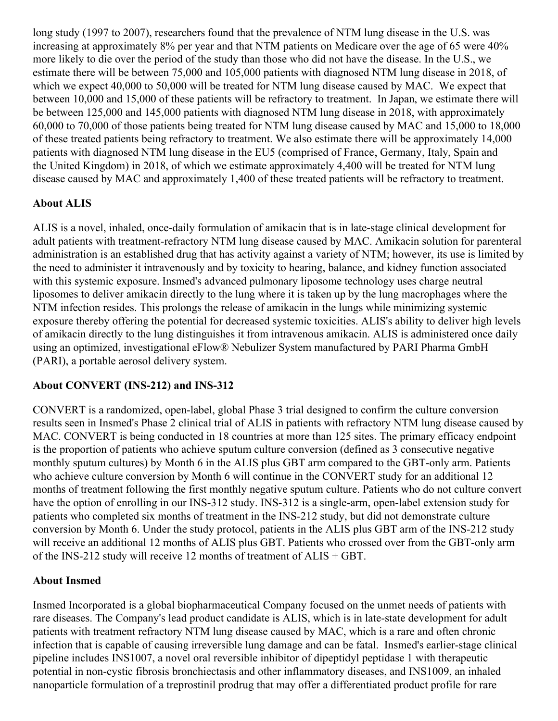long study (1997 to 2007), researchers found that the prevalence of NTM lung disease in the U.S. was increasing at approximately 8% per year and that NTM patients on Medicare over the age of 65 were 40% more likely to die over the period of the study than those who did not have the disease. In the U.S., we estimate there will be between 75,000 and 105,000 patients with diagnosed NTM lung disease in 2018, of which we expect 40,000 to 50,000 will be treated for NTM lung disease caused by MAC. We expect that between 10,000 and 15,000 of these patients will be refractory to treatment. In Japan, we estimate there will be between 125,000 and 145,000 patients with diagnosed NTM lung disease in 2018, with approximately 60,000 to 70,000 of those patients being treated for NTM lung disease caused by MAC and 15,000 to 18,000 of these treated patients being refractory to treatment. We also estimate there will be approximately 14,000 patients with diagnosed NTM lung disease in the EU5 (comprised of France, Germany, Italy, Spain and the United Kingdom) in 2018, of which we estimate approximately 4,400 will be treated for NTM lung disease caused by MAC and approximately 1,400 of these treated patients will be refractory to treatment.

## **About ALIS**

ALIS is a novel, inhaled, once-daily formulation of amikacin that is in late-stage clinical development for adult patients with treatment-refractory NTM lung disease caused by MAC. Amikacin solution for parenteral administration is an established drug that has activity against a variety of NTM; however, its use is limited by the need to administer it intravenously and by toxicity to hearing, balance, and kidney function associated with this systemic exposure. Insmed's advanced pulmonary liposome technology uses charge neutral liposomes to deliver amikacin directly to the lung where it is taken up by the lung macrophages where the NTM infection resides. This prolongs the release of amikacin in the lungs while minimizing systemic exposure thereby offering the potential for decreased systemic toxicities. ALIS's ability to deliver high levels of amikacin directly to the lung distinguishes it from intravenous amikacin. ALIS is administered once daily using an optimized, investigational eFlow® Nebulizer System manufactured by PARI Pharma GmbH (PARI), a portable aerosol delivery system.

## **About CONVERT (INS-212) and INS-312**

CONVERT is a randomized, open-label, global Phase 3 trial designed to confirm the culture conversion results seen in Insmed's Phase 2 clinical trial of ALIS in patients with refractory NTM lung disease caused by MAC. CONVERT is being conducted in 18 countries at more than 125 sites. The primary efficacy endpoint is the proportion of patients who achieve sputum culture conversion (defined as 3 consecutive negative monthly sputum cultures) by Month 6 in the ALIS plus GBT arm compared to the GBT-only arm. Patients who achieve culture conversion by Month 6 will continue in the CONVERT study for an additional 12 months of treatment following the first monthly negative sputum culture. Patients who do not culture convert have the option of enrolling in our INS-312 study. INS-312 is a single-arm, open-label extension study for patients who completed six months of treatment in the INS-212 study, but did not demonstrate culture conversion by Month 6. Under the study protocol, patients in the ALIS plus GBT arm of the INS-212 study will receive an additional 12 months of ALIS plus GBT. Patients who crossed over from the GBT-only arm of the INS-212 study will receive 12 months of treatment of ALIS + GBT.

## **About Insmed**

Insmed Incorporated is a global biopharmaceutical Company focused on the unmet needs of patients with rare diseases. The Company's lead product candidate is ALIS, which is in late-state development for adult patients with treatment refractory NTM lung disease caused by MAC, which is a rare and often chronic infection that is capable of causing irreversible lung damage and can be fatal. Insmed's earlier-stage clinical pipeline includes INS1007, a novel oral reversible inhibitor of dipeptidyl peptidase 1 with therapeutic potential in non-cystic fibrosis bronchiectasis and other inflammatory diseases, and INS1009, an inhaled nanoparticle formulation of a treprostinil prodrug that may offer a differentiated product profile for rare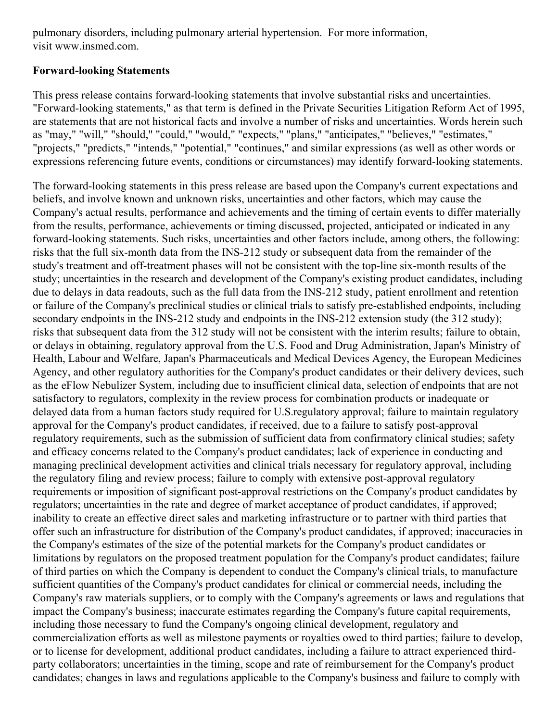pulmonary disorders, including pulmonary arterial hypertension. For more information, visit www.insmed.com.

#### **Forward-looking Statements**

This press release contains forward-looking statements that involve substantial risks and uncertainties. "Forward-looking statements," as that term is defined in the Private Securities Litigation Reform Act of 1995, are statements that are not historical facts and involve a number of risks and uncertainties. Words herein such as "may," "will," "should," "could," "would," "expects," "plans," "anticipates," "believes," "estimates," "projects," "predicts," "intends," "potential," "continues," and similar expressions (as well as other words or expressions referencing future events, conditions or circumstances) may identify forward-looking statements.

The forward-looking statements in this press release are based upon the Company's current expectations and beliefs, and involve known and unknown risks, uncertainties and other factors, which may cause the Company's actual results, performance and achievements and the timing of certain events to differ materially from the results, performance, achievements or timing discussed, projected, anticipated or indicated in any forward-looking statements. Such risks, uncertainties and other factors include, among others, the following: risks that the full six-month data from the INS-212 study or subsequent data from the remainder of the study's treatment and off-treatment phases will not be consistent with the top-line six-month results of the study; uncertainties in the research and development of the Company's existing product candidates, including due to delays in data readouts, such as the full data from the INS-212 study, patient enrollment and retention or failure of the Company's preclinical studies or clinical trials to satisfy pre-established endpoints, including secondary endpoints in the INS-212 study and endpoints in the INS-212 extension study (the 312 study); risks that subsequent data from the 312 study will not be consistent with the interim results; failure to obtain, or delays in obtaining, regulatory approval from the U.S. Food and Drug Administration, Japan's Ministry of Health, Labour and Welfare, Japan's Pharmaceuticals and Medical Devices Agency, the European Medicines Agency, and other regulatory authorities for the Company's product candidates or their delivery devices, such as the eFlow Nebulizer System, including due to insufficient clinical data, selection of endpoints that are not satisfactory to regulators, complexity in the review process for combination products or inadequate or delayed data from a human factors study required for U.S.regulatory approval; failure to maintain regulatory approval for the Company's product candidates, if received, due to a failure to satisfy post-approval regulatory requirements, such as the submission of sufficient data from confirmatory clinical studies; safety and efficacy concerns related to the Company's product candidates; lack of experience in conducting and managing preclinical development activities and clinical trials necessary for regulatory approval, including the regulatory filing and review process; failure to comply with extensive post-approval regulatory requirements or imposition of significant post-approval restrictions on the Company's product candidates by regulators; uncertainties in the rate and degree of market acceptance of product candidates, if approved; inability to create an effective direct sales and marketing infrastructure or to partner with third parties that offer such an infrastructure for distribution of the Company's product candidates, if approved; inaccuracies in the Company's estimates of the size of the potential markets for the Company's product candidates or limitations by regulators on the proposed treatment population for the Company's product candidates; failure of third parties on which the Company is dependent to conduct the Company's clinical trials, to manufacture sufficient quantities of the Company's product candidates for clinical or commercial needs, including the Company's raw materials suppliers, or to comply with the Company's agreements or laws and regulations that impact the Company's business; inaccurate estimates regarding the Company's future capital requirements, including those necessary to fund the Company's ongoing clinical development, regulatory and commercialization efforts as well as milestone payments or royalties owed to third parties; failure to develop, or to license for development, additional product candidates, including a failure to attract experienced thirdparty collaborators; uncertainties in the timing, scope and rate of reimbursement for the Company's product candidates; changes in laws and regulations applicable to the Company's business and failure to comply with